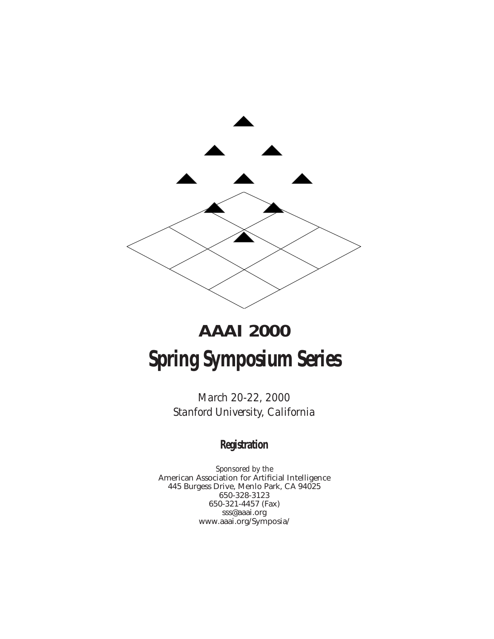

# **AAAI 2000 Spring Symposium Series**

*March 20-22, 2000 Stanford University, California*

### **Registration**

*Sponsored by the* American Association for Artificial Intelligence 445 Burgess Drive, Menlo Park, CA 94025 650-328-3123 650-321-4457 (Fax) sss@aaai.org www.aaai.org/Symposia/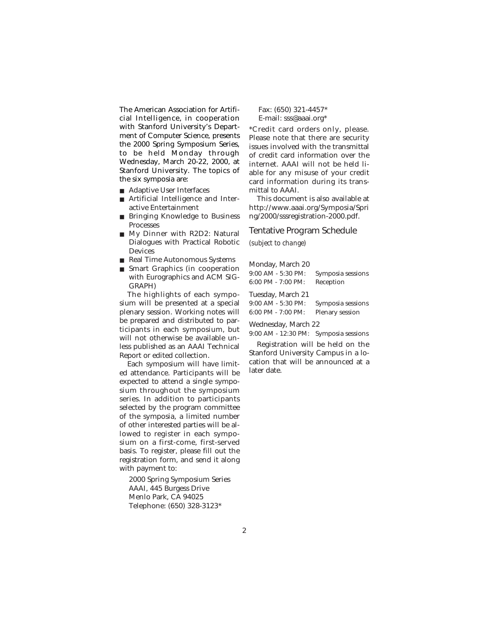The American Association for Artificial Intelligence, in cooperation with Stanford University's Department of Computer Science, presents the 2000 Spring Symposium Series, to be held Monday through Wednesday, March 20-22, 2000, at Stanford University. The topics of the six symposia are:

- Adaptive User Interfaces
- Artificial Intelligence and Interactive Entertainment
- Bringing Knowledge to Business Processes
- My Dinner with R2D2: Natural Dialogues with Practical Robotic Devices
- Real Time Autonomous Systems
- Smart Graphics (in cooperation with Eurographics and ACM SIG-GRAPH)

The highlights of each symposium will be presented at a special plenary session. Working notes will be prepared and distributed to participants in each symposium, but will not otherwise be available unless published as an AAAI Technical Report or edited collection.

Each symposium will have limited attendance. Participants will be expected to attend a single symposium throughout the symposium series. In addition to participants selected by the program committee of the symposia, a limited number of other interested parties will be allowed to register in each symposium on a first-come, first-served basis. To register, please fill out the registration form, and send it along with payment to:

2000 Spring Symposium Series AAAI, 445 Burgess Drive Menlo Park, CA 94025 Telephone: (650) 328-3123\*

Fax: (650) 321-4457\* E-mail: sss@aaai.org\*

\*Credit card orders only, please. Please note that there are security issues involved with the transmittal of credit card information over the internet. AAAI will not be held liable for any misuse of your credit card information during its transmittal to AAAI.

This document is also available at http://www.aaai.org/Symposia/Spri ng/2000/sssregistration-2000.pdf.

### Tentative Program Schedule

*(subject to change)*

| Monday, March 20       |                   |
|------------------------|-------------------|
| $9:00$ AM - $5:30$ PM: | Symposia sessions |
| $6:00$ PM - $7:00$ PM: | Reception         |
| Tuesday, March 21      |                   |
| $9:00$ AM $-5:30$ PM:  | Symposia sessions |
| 6:00 PM - 7:00 PM:     | Plenary session   |
|                        |                   |

Wednesday, March 22

9:00 AM - 12:30 PM: Symposia sessions Registration will be held on the

Stanford University Campus in a location that will be announced at a later date.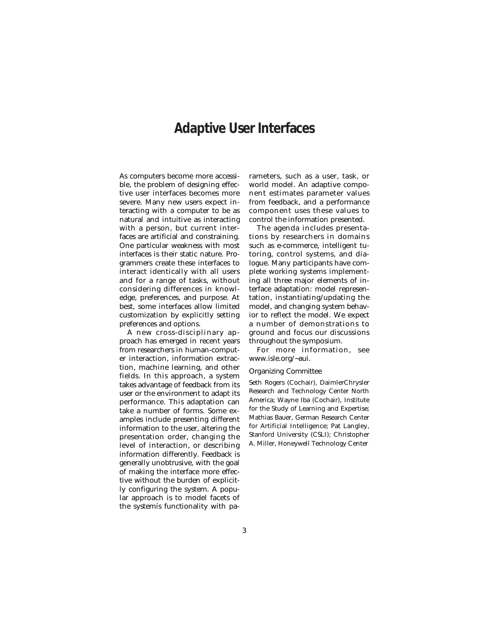### **Adaptive User Interfaces**

As computers become more accessible, the problem of designing effective user interfaces becomes more severe. Many new users expect interacting with a computer to be as natural and intuitive as interacting with a person, but current interfaces are artificial and constraining. One particular weakness with most interfaces is their static nature. Programmers create these interfaces to interact identically with all users and for a range of tasks, without considering differences in knowledge, preferences, and purpose. At best, some interfaces allow limited customization by explicitly setting preferences and options.

A new cross-disciplinary approach has emerged in recent years from researchers in human-computer interaction, information extraction, machine learning, and other fields. In this approach, a system takes advantage of feedback from its user or the environment to adapt its performance. This adaptation can take a number of forms. Some examples include presenting different information to the user, altering the presentation order, changing the level of interaction, or describing information differently. Feedback is generally unobtrusive, with the goal of making the interface more effective without the burden of explicitly configuring the system. A popular approach is to model facets of the systemís functionality with parameters, such as a user, task, or world model. An adaptive component estimates parameter values from feedback, and a performance component uses these values to control the information presented.

The agenda includes presentations by researchers in domains such as e-commerce, intelligent tutoring, control systems, and dialogue. Many participants have complete working systems implementing all three major elements of interface adaptation: model representation, instantiating/updating the model, and changing system behavior to reflect the model. We expect a number of demonstrations to ground and focus our discussions throughout the symposium.

For more information, see www.isle.org/~aui.

#### Organizing Committee

Seth Rogers (Cochair), DaimlerChrysler Research and Technology Center North America; Wayne Iba (Cochair), Institute for the Study of Learning and Expertise; Mathias Bauer, German Research Center for Artificial Intelligence; Pat Langley, Stanford University (CSLI); Christopher A. Miller, Honeywell Technology Center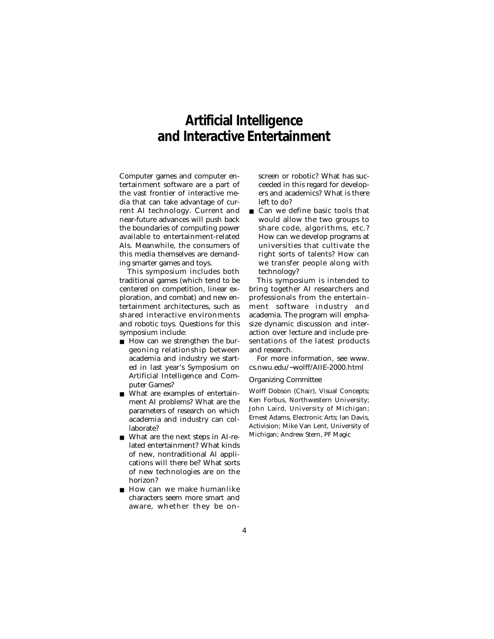### **Artificial Intelligence and Interactive Entertainment**

Computer games and computer entertainment software are a part of the vast frontier of interactive media that can take advantage of current AI technology. Current and near-future advances will push back the boundaries of computing power available to entertainment-related AIs. Meanwhile, the consumers of this media themselves are demanding smarter games and toys.

This symposium includes both traditional games (which tend to be centered on competition, linear exploration, and combat) and new entertainment architectures, such as shared interactive environments and robotic toys. Questions for this symposium include:

- How can we strengthen the burgeoning relationship between academia and industry we started in last year's Symposium on Artificial Intelligence and Computer Games?
- What are examples of entertainment AI problems? What are the parameters of research on which academia and industry can collaborate?
- What are the next steps in AI-related entertainment? What kinds of new, nontraditional AI applications will there be? What sorts of new technologies are on the horizon?
- How can we make humanlike characters seem more smart and aware, whether they be on-

screen or robotic? What has succeeded in this regard for developers and academics? What is there left to do?

■ Can we define basic tools that would allow the two groups to share code, algorithms, etc.? How can we develop programs at universities that cultivate the right sorts of talents? How can we transfer people along with technology?

This symposium is intended to bring together AI researchers and professionals from the entertainment software industry and academia. The program will emphasize dynamic discussion and interaction over lecture and include presentations of the latest products and research.

For more information, see www. cs.nwu.edu/~wolff/AIIE-2000.html

#### Organizing Committee

Wolff Dobson (Chair), Visual Concepts; Ken Forbus, Northwestern University; John Laird, University of Michigan; Ernest Adams, Electronic Arts; Ian Davis, Activision; Mike Van Lent, University of Michigan; Andrew Stern, PF Magic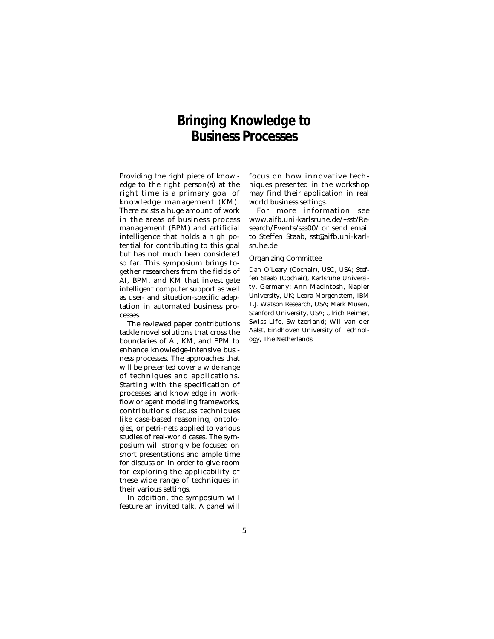### **Bringing Knowledge to Business Processes**

Providing the right piece of knowledge to the right person(s) at the right time is a primary goal of knowledge management (KM). There exists a huge amount of work in the areas of business process management (BPM) and artificial intelligence that holds a high potential for contributing to this goal but has not much been considered so far. This symposium brings together researchers from the fields of AI, BPM, and KM that investigate intelligent computer support as well as user- and situation-specific adaptation in automated business processes.

The reviewed paper contributions tackle novel solutions that cross the boundaries of AI, KM, and BPM to enhance knowledge-intensive business processes. The approaches that will be presented cover a wide range of techniques and applications. Starting with the specification of processes and knowledge in workflow or agent modeling frameworks, contributions discuss techniques like case-based reasoning, ontologies, or petri-nets applied to various studies of real-world cases. The symposium will strongly be focused on short presentations and ample time for discussion in order to give room for exploring the applicability of these wide range of techniques in their various settings.

In addition, the symposium will feature an invited talk. A panel will focus on how innovative techniques presented in the workshop may find their application in real world business settings.

For more information see www.aifb.uni-karlsruhe.de/~sst/Research/Events/sss00/ or send email to Steffen Staab, sst@aifb.uni-karlsruhe.de

#### Organizing Committee

Dan O'Leary (Cochair), USC, USA; Steffen Staab (Cochair), Karlsruhe University, Germany; Ann Macintosh, Napier University, UK; Leora Morgenstern, IBM T.J. Watson Research, USA; Mark Musen, Stanford University, USA; Ulrich Reimer, Swiss Life, Switzerland; Wil van der Aalst, Eindhoven University of Technology, The Netherlands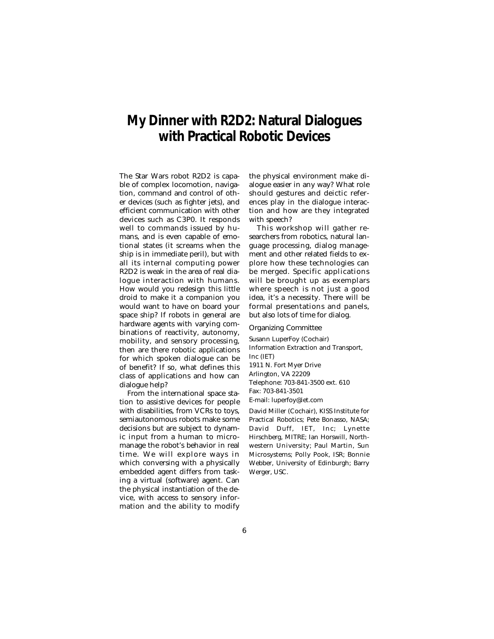### **My Dinner with R2D2: Natural Dialogues with Practical Robotic Devices**

The Star Wars robot R2D2 is capable of complex locomotion, navigation, command and control of other devices (such as fighter jets), and efficient communication with other devices such as C3P0. It responds well to commands issued by humans, and is even capable of emotional states (it screams when the ship is in immediate peril), but with all its internal computing power R2D2 is weak in the area of real dialogue interaction with humans. How would you redesign this little droid to make it a companion you would want to have on board your space ship? If robots in general are hardware agents with varying combinations of reactivity, autonomy, mobility, and sensory processing, then are there robotic applications for which spoken dialogue can be of benefit? If so, what defines this class of applications and how can dialogue help?

From the international space station to assistive devices for people with disabilities, from VCRs to toys, semiautonomous robots make some decisions but are subject to dynamic input from a human to micromanage the robot's behavior in real time. We will explore ways in which conversing with a physically embedded agent differs from tasking a virtual (software) agent. Can the physical instantiation of the device, with access to sensory information and the ability to modify the physical environment make dialogue easier in any way? What role should gestures and deictic references play in the dialogue interaction and how are they integrated with speech?

This workshop will gather researchers from robotics, natural language processing, dialog management and other related fields to explore how these technologies can be merged. Specific applications will be brought up as exemplars where speech is not just a good idea, it's a necessity. There will be formal presentations and panels, but also lots of time for dialog.

Organizing Committee

Susann LuperFoy (Cochair) Information Extraction and Transport, Inc (IET) 1911 N. Fort Myer Drive Arlington, VA 22209 Telephone: 703-841-3500 ext. 610 Fax: 703-841-3501 E-mail: luperfoy@iet.com

David Miller (Cochair), KISS Institute for Practical Robotics; Pete Bonasso, NASA; David Duff, IET, Inc; Lynette Hirschberg, MITRE; Ian Horswill, Northwestern University; Paul Martin, Sun Microsystems; Polly Pook, ISR; Bonnie Webber, University of Edinburgh; Barry Werger, USC.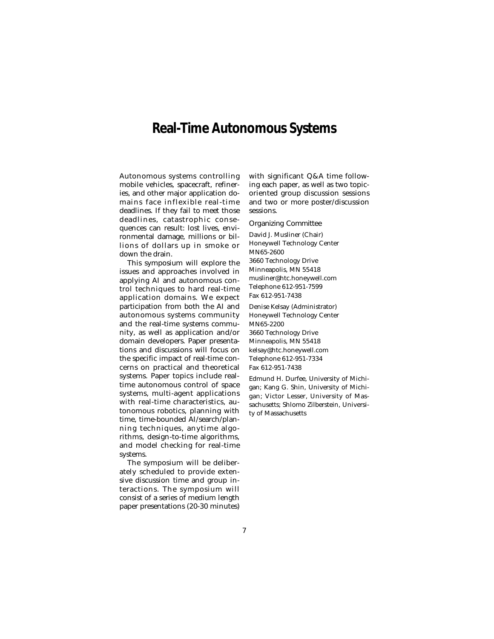### **Real-Time Autonomous Systems**

Autonomous systems controlling mobile vehicles, spacecraft, refineries, and other major application domains face inflexible real-time deadlines. If they fail to meet those deadlines, catastrophic consequences can result: lost lives, environmental damage, millions or billions of dollars up in smoke or down the drain.

This symposium will explore the issues and approaches involved in applying AI and autonomous control techniques to hard real-time application domains. We expect participation from both the AI and autonomous systems community and the real-time systems community, as well as application and/or domain developers. Paper presentations and discussions will focus on the specific impact of real-time concerns on practical and theoretical systems. Paper topics include realtime autonomous control of space systems, multi-agent applications with real-time characteristics, autonomous robotics, planning with time, time-bounded AI/search/planning techniques, anytime algorithms, design-to-time algorithms, and model checking for real-time systems.

The symposium will be deliberately scheduled to provide extensive discussion time and group interactions. The symposium will consist of a series of medium length paper presentations (20-30 minutes) with significant Q&A time following each paper, as well as two topicoriented group discussion sessions and two or more poster/discussion sessions.

Organizing Committee

David J. Musliner (Chair) Honeywell Technology Center MN65-2600 3660 Technology Drive Minneapolis, MN 55418 musliner@htc.honeywell.com Telephone 612-951-7599 Fax 612-951-7438

Denise Kelsay (Administrator) Honeywell Technology Center MN65-2200 3660 Technology Drive Minneapolis, MN 55418 kelsay@htc.honeywell.com Telephone 612-951-7334 Fax 612-951-7438

Edmund H. Durfee, University of Michigan; Kang G. Shin, University of Michigan; Victor Lesser, University of Massachusetts; Shlomo Zilberstein, University of Massachusetts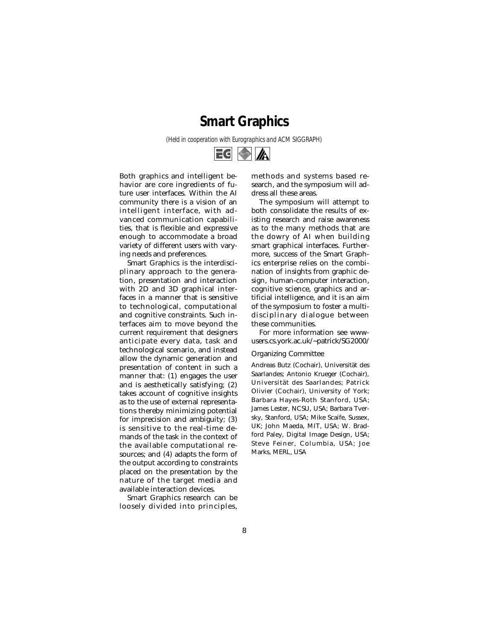### **Smart Graphics**

*(Held in cooperation with Eurographics and ACM SIGGRAPH)*



Both graphics and intelligent behavior are core ingredients of future user interfaces. Within the AI community there is a vision of an intelligent interface, with advanced communication capabilities, that is flexible and expressive enough to accommodate a broad variety of different users with varying needs and preferences.

Smart Graphics is the interdisciplinary approach to the generation, presentation and interaction with 2D and 3D graphical interfaces in a manner that is sensitive to technological, computational and cognitive constraints. Such interfaces aim to move beyond the current requirement that designers anticipate every data, task and technological scenario, and instead allow the dynamic generation and presentation of content in such a manner that: (1) engages the user and is aesthetically satisfying; (2) takes account of cognitive insights as to the use of external representations thereby minimizing potential for imprecision and ambiguity; (3) is sensitive to the real-time demands of the task in the context of the available computational resources; and (4) adapts the form of the output according to constraints placed on the presentation by the nature of the target media and available interaction devices.

Smart Graphics research can be loosely divided into principles,

methods and systems based research, and the symposium will address all these areas.

The symposium will attempt to both consolidate the results of existing research and raise awareness as to the many methods that are the dowry of AI when building smart graphical interfaces. Furthermore, success of the Smart Graphics enterprise relies on the combination of insights from graphic design, human-computer interaction, cognitive science, graphics and artificial intelligence, and it is an aim of the symposium to foster a multidisciplinary dialogue between these communities.

For more information see wwwusers.cs.york.ac.uk/~patrick/SG2000/

#### Organizing Committee

Andreas Butz (Cochair), Universität des Saarlandes; Antonio Krueger (Cochair), Universität des Saarlandes; Patrick Olivier (Cochair), University of York; Barbara Hayes-Roth Stanford, USA; James Lester, NCSU, USA; Barbara Tversky, Stanford, USA; Mike Scaife, Sussex, UK; John Maeda, MIT, USA; W. Bradford Paley, Digital Image Design, USA; Steve Feiner, Columbia, USA; Joe Marks, MERL, USA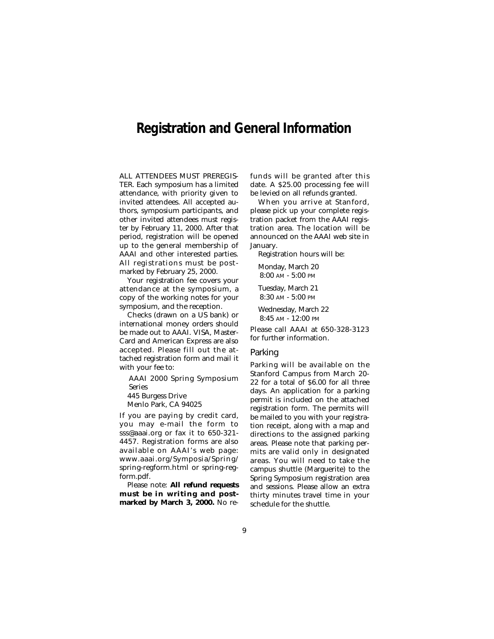### **Registration and General Information**

ALL ATTENDEES MUST PREREGIS-TER. Each symposium has a limited attendance, with priority given to invited attendees. All accepted authors, symposium participants, and other invited attendees must register by February 11, 2000. After that period, registration will be opened up to the general membership of AAAI and other interested parties. All registrations must be postmarked by February 25, 2000.

Your registration fee covers your attendance at the symposium, a copy of the working notes for your symposium, and the reception.

Checks (drawn on a US bank) or international money orders should be made out to AAAI. VISA, Master-Card and American Express are also accepted. Please fill out the attached registration form and mail it with your fee to:

AAAI 2000 Spring Symposium Series

445 Burgess Drive

Menlo Park, CA 94025

If you are paying by credit card, you may e-mail the form to sss@aaai.org or fax it to 650-321- 4457. Registration forms are also available on AAAI's web page: www.aaai.org/Symposia/Spring/ spring-regform.html or spring-regform.pdf.

Please note: **All refund requests must be in writing and postmarked by March 3, 2000.** No refunds will be granted after this date. A \$25.00 processing fee will be levied on all refunds granted.

When you arrive at Stanford, please pick up your complete registration packet from the AAAI registration area. The location will be announced on the AAAI web site in January.

Registration hours will be:

Monday, March 20 8:00 AM - 5:00 PM

Tuesday, March 21 8:30 AM - 5:00 PM

Wednesday, March 22 8:45 AM - 12:00 PM

Please call AAAI at 650-328-3123 for further information.

#### Parking

Parking will be available on the Stanford Campus from March 20- 22 for a total of \$6.00 for all three days. An application for a parking permit is included on the attached registration form. The permits will be mailed to you with your registration receipt, along with a map and directions to the assigned parking areas. Please note that parking permits are valid only in designated areas. You will need to take the campus shuttle (Marguerite) to the Spring Symposium registration area and sessions. Please allow an extra thirty minutes travel time in your schedule for the shuttle.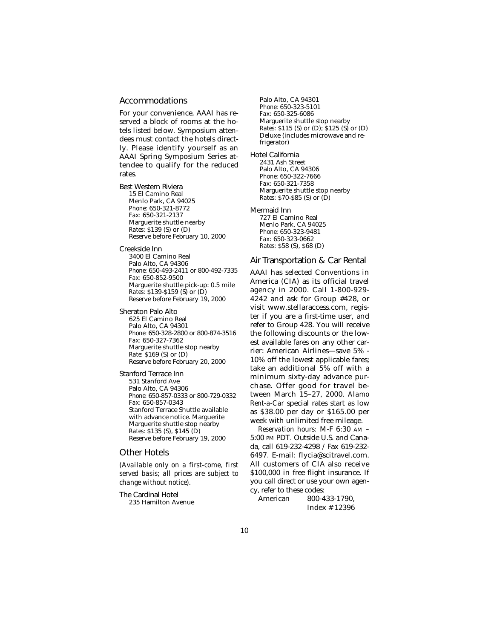#### Accommodations

For your convenience, AAAI has reserved a block of rooms at the hotels listed below. Symposium attendees must contact the hotels directly. Please identify yourself as an AAAI Spring Symposium Series attendee to qualify for the reduced rates.

Best Western Riviera 15 El Camino Real Menlo Park, CA 94025 *Phone:* 650-321-8772 *Fax:* 650-321-2137 Marguerite shuttle nearby *Rates:* \$139 (S) or (D) Reserve before February 10, 2000

Creekside Inn

3400 El Camino Real Palo Alto, CA 94306 *Phone:* 650-493-2411 or 800-492-7335 *Fax:* 650-852-9500 Marguerite shuttle pick-up: 0.5 mile *Rates:* \$139-\$159 (S) or (D) Reserve before February 19, 2000

Sheraton Palo Alto 625 El Camino Real Palo Alto, CA 94301 *Phone:* 650-328-2800 or 800-874-3516 *Fax:* 650-327-7362 Marguerite shuttle stop nearby *Rate:* \$169 (S) or (D) Reserve before February 20, 2000

Stanford Terrace Inn 531 Stanford Ave Palo Alto, CA 94306 *Phone:* 650-857-0333 or 800-729-0332 *Fax:* 650-857-0343 Stanford Terrace Shuttle available with advance notice. Marguerite Marguerite shuttle stop nearby *Rates:* \$135 (S), \$145 (D) Reserve before February 19, 2000

#### Other Hotels

*(Available only on a first-come, first served basis; all prices are subject to change without notice).*

The Cardinal Hotel 235 Hamilton Avenue Palo Alto, CA 94301 *Phone:* 650-323-5101 *Fax:* 650-325-6086 Marguerite shuttle stop nearby *Rates:* \$115 (S) or (D); \$125 (S) or (D) Deluxe (includes microwave and refrigerator)

Hotel California 2431 Ash Street Palo Alto, CA 94306 *Phone:* 650-322-7666 *Fax:* 650-321-7358 Marguerite shuttle stop nearby *Rates:* \$70-\$85 (S) or (D)

Mermaid Inn 727 El Camino Real Menlo Park, CA 94025 *Phone:* 650-323-9481 *Fax:* 650-323-0662 *Rates:* \$58 (S), \$68 (D)

#### Air Transportation & Car Rental

AAAI has selected Conventions in America (CIA) as its official travel agency in 2000. Call 1-800-929- 4242 and ask for Group #428, or visit www.stellaraccess.com, register if you are a first-time user, and refer to Group 428. You will receive the following discounts or the lowest available fares on any other carrier: American Airlines—save 5% - 10% off the lowest applicable fares; take an additional 5% off with a minimum sixty-day advance purchase. Offer good for travel between March 15–27, 2000. *Alamo Rent-a-Car* special rates start as low as \$38.00 per day or \$165.00 per week with unlimited free mileage.

*Reservation hours:* M-F 6:30 AM – 5:00 PM PDT. Outside U.S. and Canada, call 619-232-4298 / Fax 619-232- 6497. E-mail: flycia@scitravel.com. All customers of CIA also receive \$100,000 in free flight insurance. If you call direct or use your own agency, refer to these codes:

800-433-1790. Index # 12396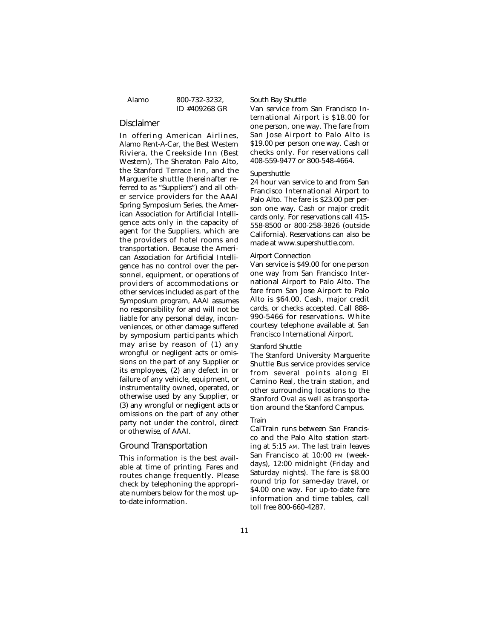Alamo 800-732-3232, ID #409268 GR

#### Disclaimer

In offering American Airlines, Alamo Rent-A-Car, the Best Western Riviera, the Creekside Inn (Best Western), The Sheraton Palo Alto, the Stanford Terrace Inn, and the Marguerite shuttle (hereinafter referred to as "Suppliers") and all other service providers for the AAAI Spring Symposium Series, the American Association for Artificial Intelligence acts only in the capacity of agent for the Suppliers, which are the providers of hotel rooms and transportation. Because the American Association for Artificial Intelligence has no control over the personnel, equipment, or operations of providers of accommodations or other services included as part of the Symposium program, AAAI assumes no responsibility for and will not be liable for any personal delay, inconveniences, or other damage suffered by symposium participants which may arise by reason of (1) any wrongful or negligent acts or omissions on the part of any Supplier or its employees, (2) any defect in or failure of any vehicle, equipment, or instrumentality owned, operated, or otherwise used by any Supplier, or (3) any wrongful or negligent acts or omissions on the part of any other party not under the control, direct or otherwise, of AAAI.

#### Ground Transportation

This information is the best available at time of printing. Fares and routes change frequently. Please check by telephoning the appropriate numbers below for the most upto-date information.

#### South Bay Shuttle

Van service from San Francisco International Airport is \$18.00 for one person, one way. The fare from San Jose Airport to Palo Alto is \$19.00 per person one way. Cash or checks only. For reservations call 408-559-9477 or 800-548-4664.

#### Supershuttle

24 hour van service to and from San Francisco International Airport to Palo Alto. The fare is \$23.00 per person one way. Cash or major credit cards only. For reservations call 415- 558-8500 or 800-258-3826 (outside California). Reservations can also be made at www.supershuttle.com.

#### Airport Connection

Van service is \$49.00 for one person one way from San Francisco International Airport to Palo Alto. The fare from San Jose Airport to Palo Alto is \$64.00. Cash, major credit cards, or checks accepted. Call 888- 990-5466 for reservations. White courtesy telephone available at San Francisco International Airport.

#### Stanford Shuttle

The Stanford University Marguerite Shuttle Bus service provides service from several points along El Camino Real, the train station, and other surrounding locations to the Stanford Oval as well as transportation around the Stanford Campus.

#### Train

CalTrain runs between San Francisco and the Palo Alto station starting at 5:15 AM. The last train leaves San Francisco at 10:00 PM (weekdays), 12:00 midnight (Friday and Saturday nights). The fare is \$8.00 round trip for same-day travel, or \$4.00 one way. For up-to-date fare information and time tables, call toll free 800-660-4287.